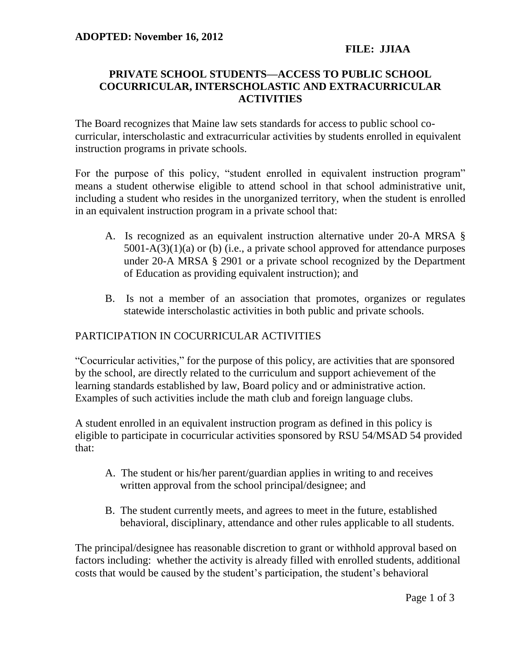## **FILE: JJIAA**

## **PRIVATE SCHOOL STUDENTS—ACCESS TO PUBLIC SCHOOL COCURRICULAR, INTERSCHOLASTIC AND EXTRACURRICULAR ACTIVITIES**

The Board recognizes that Maine law sets standards for access to public school cocurricular, interscholastic and extracurricular activities by students enrolled in equivalent instruction programs in private schools.

For the purpose of this policy, "student enrolled in equivalent instruction program" means a student otherwise eligible to attend school in that school administrative unit, including a student who resides in the unorganized territory, when the student is enrolled in an equivalent instruction program in a private school that:

- A. Is recognized as an equivalent instruction alternative under 20-A MRSA § 5001-A(3)(1)(a) or (b) (i.e., a private school approved for attendance purposes under 20-A MRSA § 2901 or a private school recognized by the Department of Education as providing equivalent instruction); and
- B. Is not a member of an association that promotes, organizes or regulates statewide interscholastic activities in both public and private schools.

# PARTICIPATION IN COCURRICULAR ACTIVITIES

"Cocurricular activities," for the purpose of this policy, are activities that are sponsored by the school, are directly related to the curriculum and support achievement of the learning standards established by law, Board policy and or administrative action. Examples of such activities include the math club and foreign language clubs.

A student enrolled in an equivalent instruction program as defined in this policy is eligible to participate in cocurricular activities sponsored by RSU 54/MSAD 54 provided that:

- A. The student or his/her parent/guardian applies in writing to and receives written approval from the school principal/designee; and
- B. The student currently meets, and agrees to meet in the future, established behavioral, disciplinary, attendance and other rules applicable to all students.

The principal/designee has reasonable discretion to grant or withhold approval based on factors including: whether the activity is already filled with enrolled students, additional costs that would be caused by the student's participation, the student's behavioral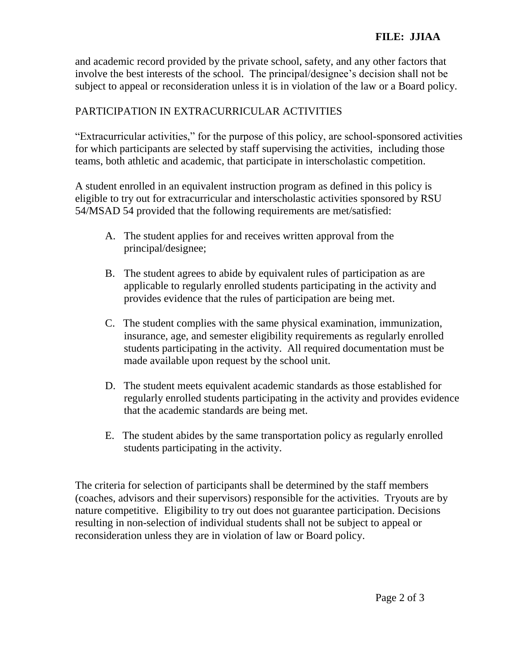and academic record provided by the private school, safety, and any other factors that involve the best interests of the school. The principal/designee's decision shall not be subject to appeal or reconsideration unless it is in violation of the law or a Board policy.

# PARTICIPATION IN EXTRACURRICULAR ACTIVITIES

"Extracurricular activities," for the purpose of this policy, are school-sponsored activities for which participants are selected by staff supervising the activities, including those teams, both athletic and academic, that participate in interscholastic competition.

A student enrolled in an equivalent instruction program as defined in this policy is eligible to try out for extracurricular and interscholastic activities sponsored by RSU 54/MSAD 54 provided that the following requirements are met/satisfied:

- A. The student applies for and receives written approval from the principal/designee;
- B. The student agrees to abide by equivalent rules of participation as are applicable to regularly enrolled students participating in the activity and provides evidence that the rules of participation are being met.
- C. The student complies with the same physical examination, immunization, insurance, age, and semester eligibility requirements as regularly enrolled students participating in the activity. All required documentation must be made available upon request by the school unit.
- D. The student meets equivalent academic standards as those established for regularly enrolled students participating in the activity and provides evidence that the academic standards are being met.
- E. The student abides by the same transportation policy as regularly enrolled students participating in the activity.

The criteria for selection of participants shall be determined by the staff members (coaches, advisors and their supervisors) responsible for the activities. Tryouts are by nature competitive. Eligibility to try out does not guarantee participation. Decisions resulting in non-selection of individual students shall not be subject to appeal or reconsideration unless they are in violation of law or Board policy.